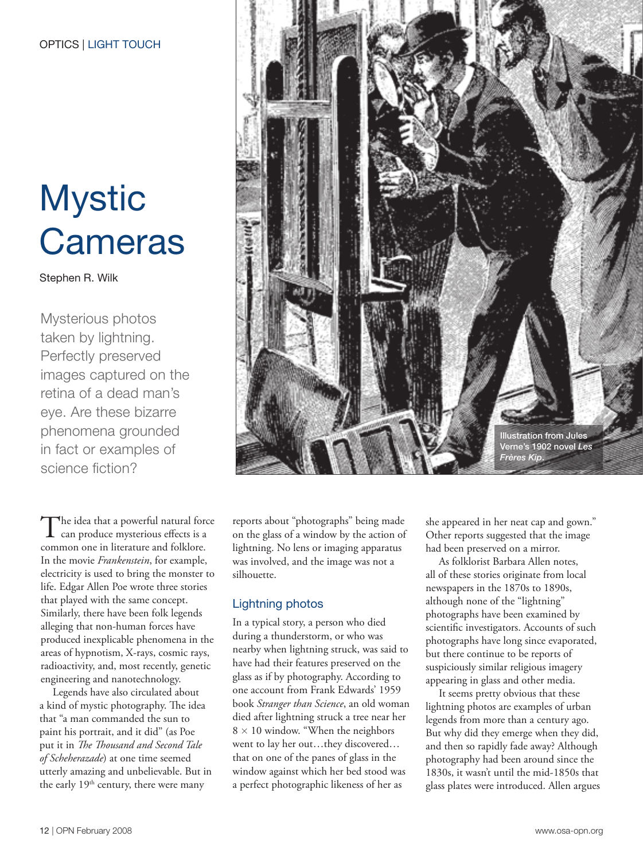## Mystic **Cameras**

Stephen R. Wilk

Mysterious photos taken by lightning. Perfectly preserved images captured on the retina of a dead man's eye. Are these bizarre phenomena grounded in fact or examples of science fiction?

The idea that a powerful natural force<br>
can produce mysterious effects is a<br>  $\frac{1}{6}$  and  $\frac{1}{6}$  and  $\frac{1}{6}$  and  $\frac{1}{6}$  and  $\frac{1}{6}$  and  $\frac{1}{6}$  and  $\frac{1}{6}$  and  $\frac{1}{6}$  and  $\frac{1}{6}$  and  $\frac{1}{6}$  and  $\frac{$ common one in literature and folklore. In the movie *Frankenstein*, for example, electricity is used to bring the monster to life. Edgar Allen Poe wrote three stories that played with the same concept. Similarly, there have been folk legends alleging that non-human forces have produced inexplicable phenomena in the areas of hypnotism, X-rays, cosmic rays, radioactivity, and, most recently, genetic engineering and nanotechnology.

Legends have also circulated about a kind of mystic photography. The idea that "a man commanded the sun to paint his portrait, and it did" (as Poe put it in *The Thousand and Second Tale of Scheherazade*) at one time seemed utterly amazing and unbelievable. But in the early 19<sup>th</sup> century, there were many



reports about "photographs" being made on the glass of a window by the action of lightning. No lens or imaging apparatus was involved, and the image was not a silhouette.

### Lightning photos

In a typical story, a person who died during a thunderstorm, or who was nearby when lightning struck, was said to have had their features preserved on the glass as if by photography. According to one account from Frank Edwards' 1959 book *Stranger than Science*, an old woman died after lightning struck a tree near her  $8 \times 10$  window. "When the neighbors" went to lay her out…they discovered… that on one of the panes of glass in the window against which her bed stood was a perfect photographic likeness of her as

she appeared in her neat cap and gown." Other reports suggested that the image had been preserved on a mirror.

As folklorist Barbara Allen notes, all of these stories originate from local newspapers in the 1870s to 1890s, although none of the "lightning" photographs have been examined by scientific investigators. Accounts of such photographs have long since evaporated, but there continue to be reports of suspiciously similar religious imagery appearing in glass and other media.

It seems pretty obvious that these lightning photos are examples of urban legends from more than a century ago. But why did they emerge when they did, and then so rapidly fade away? Although photography had been around since the 1830s, it wasn't until the mid-1850s that glass plates were introduced. Allen argues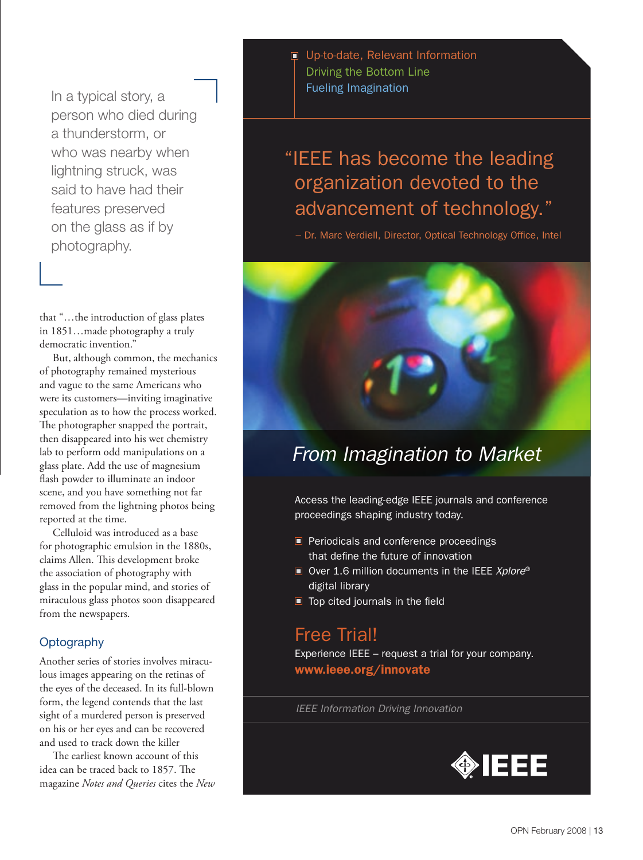In a typical story, a person who died during a thunderstorm, or who was nearby when lightning struck, was said to have had their features preserved on the glass as if by photography.

that "…the introduction of glass plates in 1851…made photography a truly democratic invention."

But, although common, the mechanics of photography remained mysterious and vague to the same Americans who were its customers—inviting imaginative speculation as to how the process worked. The photographer snapped the portrait, then disappeared into his wet chemistry lab to perform odd manipulations on a glass plate. Add the use of magnesium flash powder to illuminate an indoor scene, and you have something not far removed from the lightning photos being reported at the time.

Celluloid was introduced as a base for photographic emulsion in the 1880s, claims Allen. This development broke the association of photography with glass in the popular mind, and stories of miraculous glass photos soon disappeared from the newspapers.

#### **Optography**

Another series of stories involves miraculous images appearing on the retinas of the eyes of the deceased. In its full-blown form, the legend contends that the last sight of a murdered person is preserved on his or her eyes and can be recovered and used to track down the killer

The earliest known account of this idea can be traced back to 1857. The magazine *Notes and Queries* cites the *New* Up-to-date, Relevant Information Driving the Bottom Line Fueling Imagination

## "IEEE has become the leading organization devoted to the advancement of technology."

- Dr. Marc Verdiell, Director, Optical Technology Office, Intel



## *From Imagination to Market*

Access the leading-edge IEEE journals and conference proceedings shaping industry today.

- **Periodicals and conference proceedings** that define the future of innovation
- Over 1.6 million documents in the IEEE *Xplore®* digital library
- $\blacksquare$  Top cited journals in the field

## Free Trial!

Experience IEEE – request a trial for your company. www.ieee.org/innovate

*IEEE Information Driving Innovation*

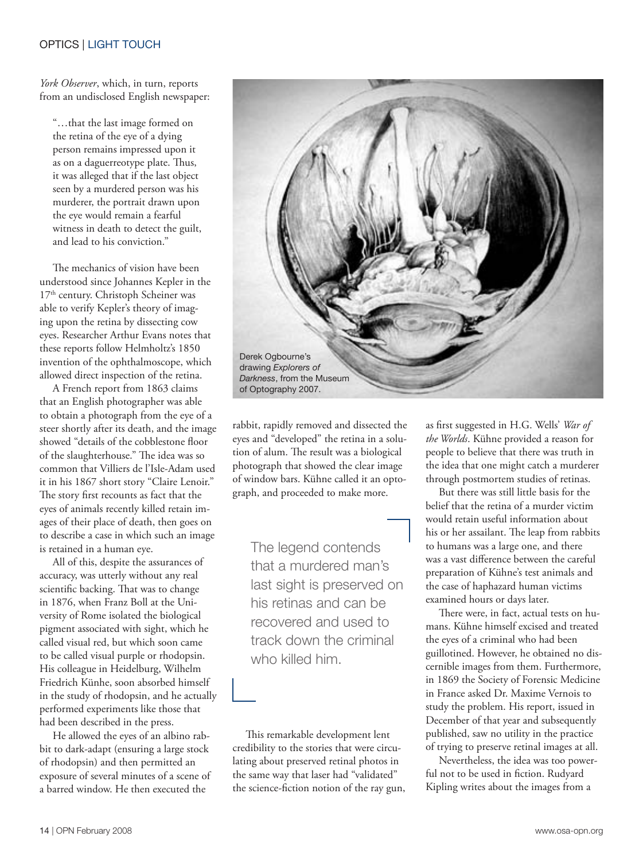#### OPTICS | LIGHT TOUCH

*York Observer*, which, in turn, reports from an undisclosed English newspaper:

"…that the last image formed on the retina of the eye of a dying person remains impressed upon it as on a daguerreotype plate. Thus, it was alleged that if the last object seen by a murdered person was his murderer, the portrait drawn upon the eye would remain a fearful witness in death to detect the guilt, and lead to his conviction."

The mechanics of vision have been understood since Johannes Kepler in the 17<sup>th</sup> century. Christoph Scheiner was able to verify Kepler's theory of imaging upon the retina by dissecting cow eyes. Researcher Arthur Evans notes that these reports follow Helmholtz's 1850 invention of the ophthalmoscope, which allowed direct inspection of the retina.

A French report from 1863 claims that an English photographer was able to obtain a photograph from the eye of a steer shortly after its death, and the image showed "details of the cobblestone floor of the slaughterhouse." The idea was so common that Villiers de l'Isle-Adam used it in his 1867 short story "Claire Lenoir." The story first recounts as fact that the eyes of animals recently killed retain images of their place of death, then goes on to describe a case in which such an image is retained in a human eye.

All of this, despite the assurances of accuracy, was utterly without any real scientific backing. That was to change in 1876, when Franz Boll at the University of Rome isolated the biological pigment associated with sight, which he called visual red, but which soon came to be called visual purple or rhodopsin. His colleague in Heidelburg, Wilhelm Friedrich Künhe, soon absorbed himself in the study of rhodopsin, and he actually performed experiments like those that had been described in the press.

He allowed the eyes of an albino rabbit to dark-adapt (ensuring a large stock of rhodopsin) and then permitted an exposure of several minutes of a scene of a barred window. He then executed the



rabbit, rapidly removed and dissected the eyes and "developed" the retina in a solution of alum. The result was a biological photograph that showed the clear image of window bars. Kühne called it an optograph, and proceeded to make more.

The legend contends that a murdered man's last sight is preserved on his retinas and can be recovered and used to track down the criminal who killed him.

This remarkable development lent credibility to the stories that were circulating about preserved retinal photos in the same way that laser had "validated" the science-fiction notion of the ray gun, as first suggested in H.G. Wells' *War of the Worlds*. Kühne provided a reason for people to believe that there was truth in the idea that one might catch a murderer through postmortem studies of retinas.

But there was still little basis for the belief that the retina of a murder victim would retain useful information about his or her assailant. The leap from rabbits to humans was a large one, and there was a vast difference between the careful preparation of Kühne's test animals and the case of haphazard human victims examined hours or days later.

There were, in fact, actual tests on humans. Kühne himself excised and treated the eyes of a criminal who had been guillotined. However, he obtained no discernible images from them. Furthermore, in 1869 the Society of Forensic Medicine in France asked Dr. Maxime Vernois to study the problem. His report, issued in December of that year and subsequently published, saw no utility in the practice of trying to preserve retinal images at all.

Nevertheless, the idea was too powerful not to be used in fiction. Rudyard Kipling writes about the images from a